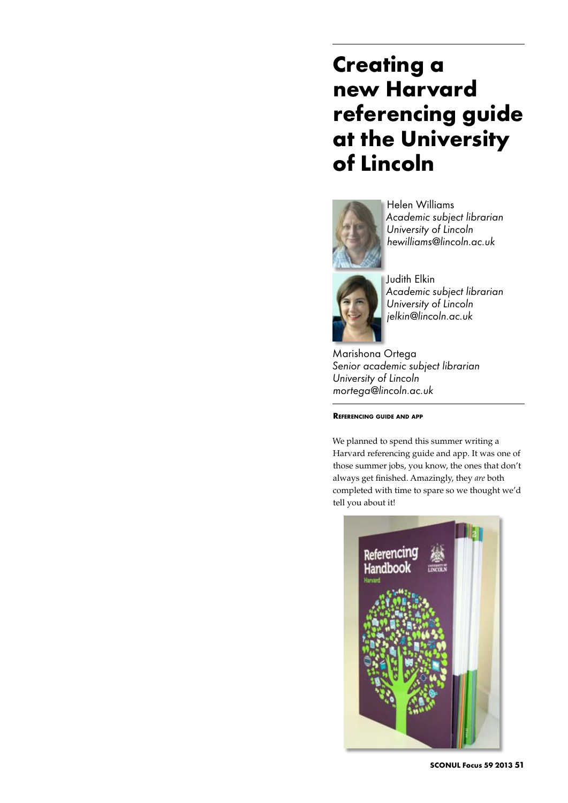# **Creating a new Harvard referencing guide at the University of Lincoln**



Helen Williams *Academic subject librarian University of Lincoln hewilliams@lincoln.ac.uk*



*Academic subject librarian University of Lincoln jelkin@lincoln.ac.uk*

Marishona Ortega *Senior academic subject librarian University of Lincoln mortega@lincoln.ac.uk*

**Referencing guide and app**

We planned to spend this summer writing a Harvard referencing guide and app. It was one of those summer jobs, you know, the ones that don't always get finished. Amazingly, they *are* both completed with time to spare so we thought we'd tell you about it!



**SCONUL Focus 59 2013 51**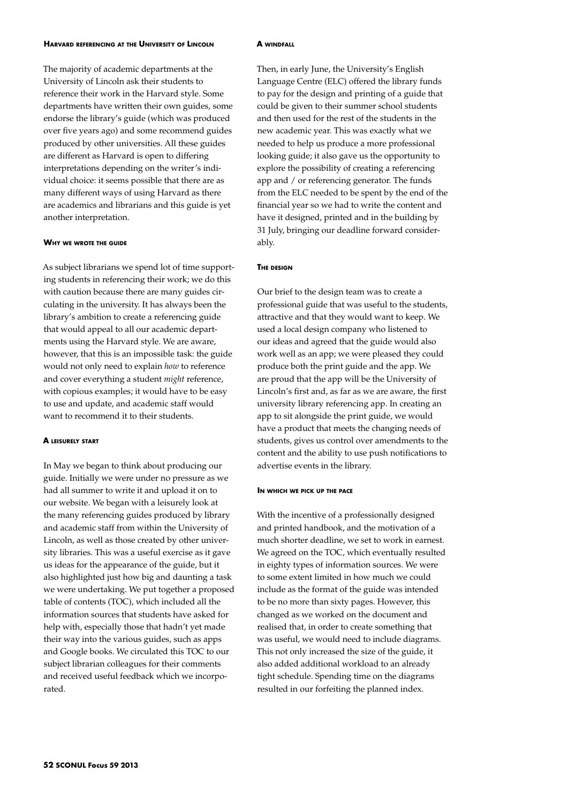### **Harvard referencing at the University of Lincoln**

The majority of academic departments at the University of Lincoln ask their students to reference their work in the Harvard style. Some departments have written their own guides, some endorse the library's guide (which was produced over five years ago) and some recommend guides produced by other universities. All these guides are different as Harvard is open to differing interpretations depending on the writer's individual choice: it seems possible that there are as many different ways of using Harvard as there are academics and librarians and this guide is yet another interpretation.

## **Why we wrote the guide**

As subject librarians we spend lot of time supporting students in referencing their work; we do this with caution because there are many guides circulating in the university. It has always been the library's ambition to create a referencing guide that would appeal to all our academic departments using the Harvard style. We are aware, however, that this is an impossible task: the guide would not only need to explain *how* to reference and cover everything a student *might* reference, with copious examples; it would have to be easy to use and update, and academic staff would want to recommend it to their students.

# **A leisurely start**

In May we began to think about producing our guide. Initially we were under no pressure as we had all summer to write it and upload it on to our website. We began with a leisurely look at the many referencing guides produced by library and academic staff from within the University of Lincoln, as well as those created by other university libraries. This was a useful exercise as it gave us ideas for the appearance of the guide, but it also highlighted just how big and daunting a task we were undertaking. We put together a proposed table of contents (TOC), which included all the information sources that students have asked for help with, especially those that hadn't yet made their way into the various guides, such as apps and Google books. We circulated this TOC to our subject librarian colleagues for their comments and received useful feedback which we incorporated.

#### **A windfall**

Then, in early June, the University's English Language Centre (ELC) offered the library funds to pay for the design and printing of a guide that could be given to their summer school students and then used for the rest of the students in the new academic year. This was exactly what we needed to help us produce a more professional looking guide; it also gave us the opportunity to explore the possibility of creating a referencing app and / or referencing generator. The funds from the ELC needed to be spent by the end of the financial year so we had to write the content and have it designed, printed and in the building by 31 July, bringing our deadline forward considerably.

# **The design**

Our brief to the design team was to create a professional guide that was useful to the students, attractive and that they would want to keep. We used a local design company who listened to our ideas and agreed that the guide would also work well as an app; we were pleased they could produce both the print guide and the app. We are proud that the app will be the University of Lincoln's first and, as far as we are aware, the first university library referencing app. In creating an app to sit alongside the print guide, we would have a product that meets the changing needs of students, gives us control over amendments to the content and the ability to use push notifications to advertise events in the library.

#### **In which we pick up the pace**

With the incentive of a professionally designed and printed handbook, and the motivation of a much shorter deadline, we set to work in earnest. We agreed on the TOC, which eventually resulted in eighty types of information sources. We were to some extent limited in how much we could include as the format of the guide was intended to be no more than sixty pages. However, this changed as we worked on the document and realised that, in order to create something that was useful, we would need to include diagrams. This not only increased the size of the guide, it also added additional workload to an already tight schedule. Spending time on the diagrams resulted in our forfeiting the planned index.